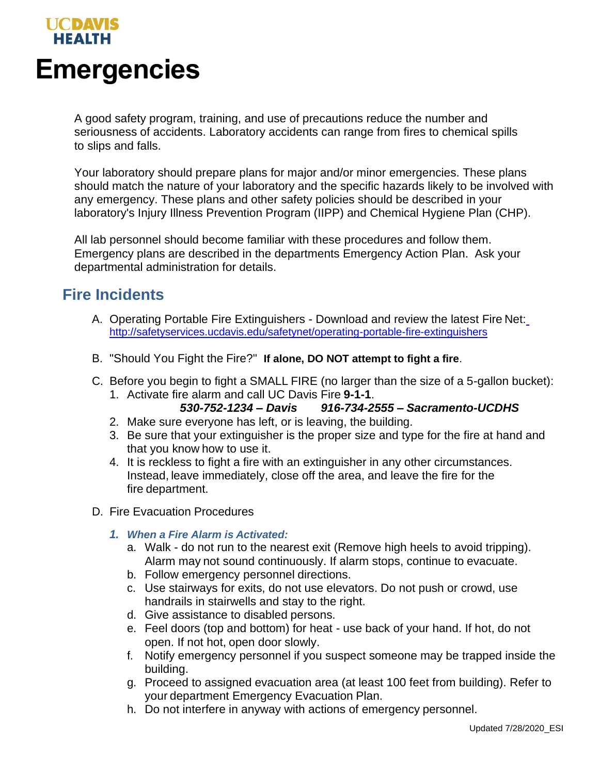

A good safety program, training, and use of precautions reduce the number and seriousness of accidents. Laboratory accidents can range from fires to chemical spills to slips and falls.

Your laboratory should prepare plans for major and/or minor emergencies. These plans should match the nature of your laboratory and the specific hazards likely to be involved with any emergency. These plans and other safety policies should be described in your laboratory's Injury Illness Prevention Program (IIPP) and Chemical Hygiene Plan (CHP).

All lab personnel should become familiar with these procedures and follow them. Emergency plans are described in the departments Emergency Action Plan. Ask your departmental administration for details.

# **Fire Incidents**

- A. Operating Portable Fire Extinguishers Download and review the latest Fire Net: <http://safetyservices.ucdavis.edu/safetynet/operating-portable-fire-extinguishers>
- B. "Should You Fight the Fire?" **If alone, DO NOT attempt to fight a fire**.
- C. Before you begin to fight a SMALL FIRE (no larger than the size of a 5-gallon bucket):
	- 1. Activate fire alarm and call UC Davis Fire **9-1-1**.

## *530-752-1234 – Davis 916-734-2555 – Sacramento-UCDHS*

- 2. Make sure everyone has left, or is leaving, the building.
- 3. Be sure that your extinguisher is the proper size and type for the fire at hand and that you know how to use it.
- 4. It is reckless to fight a fire with an extinguisher in any other circumstances. Instead, leave immediately, close off the area, and leave the fire for the fire department.
- D. Fire Evacuation Procedures
	- *1. When a Fire Alarm is Activated:*
		- a. Walk do not run to the nearest exit (Remove high heels to avoid tripping). Alarm may not sound continuously. If alarm stops, continue to evacuate.
		- b. Follow emergency personnel directions.
		- c. Use stairways for exits, do not use elevators. Do not push or crowd, use handrails in stairwells and stay to the right.
		- d. Give assistance to disabled persons.
		- e. Feel doors (top and bottom) for heat use back of your hand. If hot, do not open. If not hot, open door slowly.
		- f. Notify emergency personnel if you suspect someone may be trapped inside the building.
		- g. Proceed to assigned evacuation area (at least 100 feet from building). Refer to your department Emergency Evacuation Plan.
		- h. Do not interfere in anyway with actions of emergency personnel.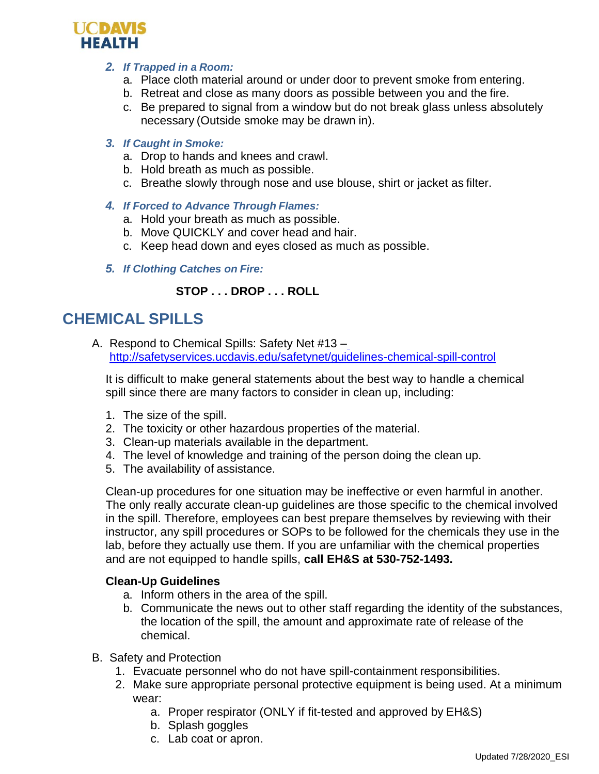

#### *2. If Trapped in a Room:*

- a. Place cloth material around or under door to prevent smoke from entering.
- b. Retreat and close as many doors as possible between you and the fire.
- c. Be prepared to signal from a window but do not break glass unless absolutely necessary (Outside smoke may be drawn in).

#### *3. If Caught in Smoke:*

- a. Drop to hands and knees and crawl.
- b. Hold breath as much as possible.
- c. Breathe slowly through nose and use blouse, shirt or jacket as filter.
- *4. If Forced to Advance Through Flames:*
	- a. Hold your breath as much as possible.
	- b. Move QUICKLY and cover head and hair.
	- c. Keep head down and eyes closed as much as possible.
- *5. If Clothing Catches on Fire:*

# **STOP . . . DROP . . . ROLL**

# **CHEMICAL SPILLS**

A. Respond to Chemical Spills: Safety Net #13 – <http://safetyservices.ucdavis.edu/safetynet/guidelines-chemical-spill-control>

It is difficult to make general statements about the best way to handle a chemical spill since there are many factors to consider in clean up, including:

- 1. The size of the spill.
- 2. The toxicity or other hazardous properties of the material.
- 3. Clean-up materials available in the department.
- 4. The level of knowledge and training of the person doing the clean up.
- 5. The availability of assistance.

Clean-up procedures for one situation may be ineffective or even harmful in another. The only really accurate clean-up guidelines are those specific to the chemical involved in the spill. Therefore, employees can best prepare themselves by reviewing with their instructor, any spill procedures or SOPs to be followed for the chemicals they use in the lab, before they actually use them. If you are unfamiliar with the chemical properties and are not equipped to handle spills, **call EH&S at 530-752-1493.**

## **Clean-Up Guidelines**

- a. Inform others in the area of the spill.
- b. Communicate the news out to other staff regarding the identity of the substances, the location of the spill, the amount and approximate rate of release of the chemical.
- B. Safety and Protection
	- 1. Evacuate personnel who do not have spill-containment responsibilities.
	- 2. Make sure appropriate personal protective equipment is being used. At a minimum wear:
		- a. Proper respirator (ONLY if fit-tested and approved by EH&S)
		- b. Splash goggles
		- c. Lab coat or apron.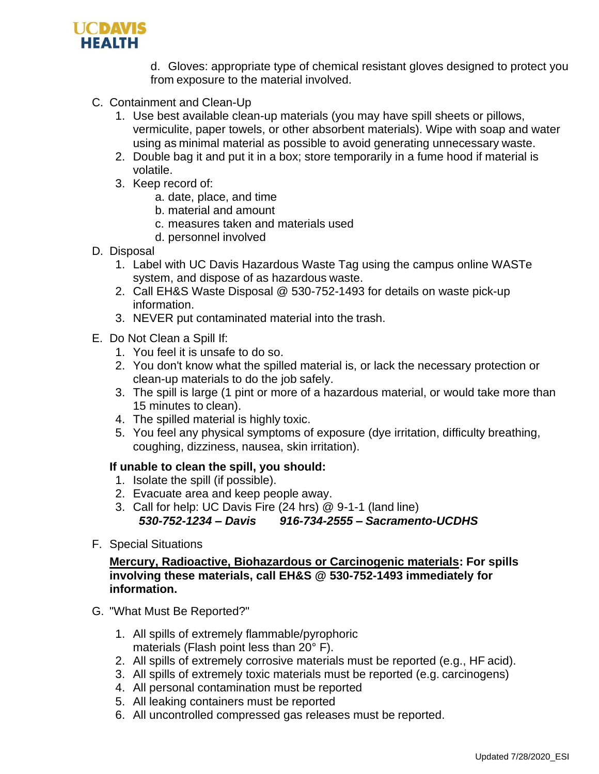

d. Gloves: appropriate type of chemical resistant gloves designed to protect you from exposure to the material involved.

- C. Containment and Clean-Up
	- 1. Use best available clean-up materials (you may have spill sheets or pillows, vermiculite, paper towels, or other absorbent materials). Wipe with soap and water using as minimal material as possible to avoid generating unnecessary waste.
	- 2. Double bag it and put it in a box; store temporarily in a fume hood if material is volatile.
	- 3. Keep record of:
		- a. date, place, and time
		- b. material and amount
		- c. measures taken and materials used
		- d. personnel involved
- D. Disposal
	- 1. Label with UC Davis Hazardous Waste Tag using the campus online WASTe system, and dispose of as hazardous waste.
	- 2. Call EH&S Waste Disposal @ 530-752-1493 for details on waste pick-up information.
	- 3. NEVER put contaminated material into the trash.
- E. Do Not Clean a Spill If:
	- 1. You feel it is unsafe to do so.
	- 2. You don't know what the spilled material is, or lack the necessary protection or clean-up materials to do the job safely.
	- 3. The spill is large (1 pint or more of a hazardous material, or would take more than 15 minutes to clean).
	- 4. The spilled material is highly toxic.
	- 5. You feel any physical symptoms of exposure (dye irritation, difficulty breathing, coughing, dizziness, nausea, skin irritation).

## **If unable to clean the spill, you should:**

- 1. Isolate the spill (if possible).
- 2. Evacuate area and keep people away.
- 3. Call for help: UC Davis Fire (24 hrs) @ 9-1-1 (land line) *530-752-1234 – Davis 916-734-2555 – Sacramento-UCDHS*
- F. Special Situations

## **Mercury, Radioactive, Biohazardous or Carcinogenic materials: For spills involving these materials, call EH&S @ 530-752-1493 immediately for information.**

- G. "What Must Be Reported?"
	- 1. All spills of extremely flammable/pyrophoric materials (Flash point less than 20° F).
	- 2. All spills of extremely corrosive materials must be reported (e.g., HF acid).
	- 3. All spills of extremely toxic materials must be reported (e.g. carcinogens)
	- 4. All personal contamination must be reported
	- 5. All leaking containers must be reported
	- 6. All uncontrolled compressed gas releases must be reported.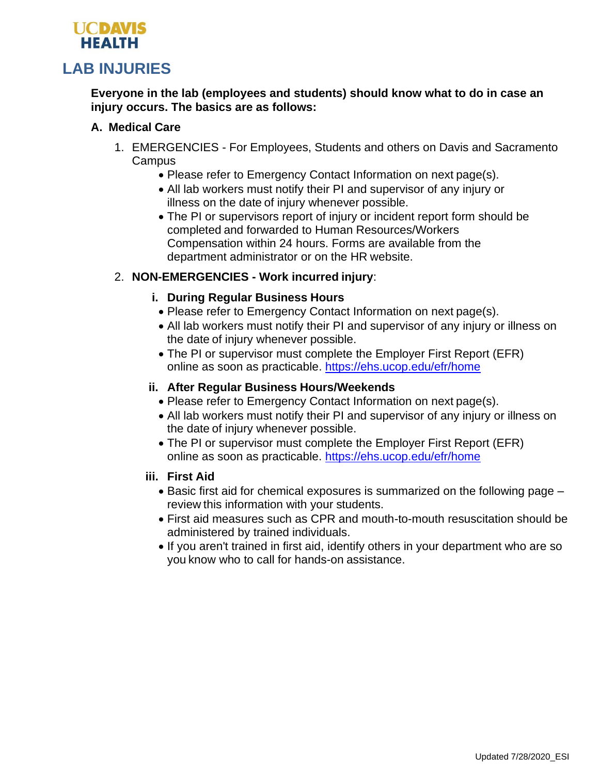

# **Everyone in the lab (employees and students) should know what to do in case an injury occurs. The basics are as follows:**

# **A. Medical Care**

- 1. EMERGENCIES For Employees, Students and others on Davis and Sacramento **Campus** 
	- Please refer to Emergency Contact Information on next page(s).
	- All lab workers must notify their PI and supervisor of any injury or illness on the date of injury whenever possible.
	- The PI or supervisors report of injury or incident report form should be completed and forwarded to Human Resources/Workers Compensation within 24 hours. Forms are available from the department administrator or on the HR website.

# 2. **NON-EMERGENCIES - Work incurred injury**:

## **i. During Regular Business Hours**

- Please refer to Emergency Contact Information on next page(s).
- All lab workers must notify their PI and supervisor of any injury or illness on the date of injury whenever possible.
- The PI or supervisor must complete the Employer First Report (EFR) online as soon as practicable. <https://ehs.ucop.edu/efr/home>

# **ii. After Regular Business Hours/Weekends**

- Please refer to Emergency Contact Information on next page(s).
- All lab workers must notify their PI and supervisor of any injury or illness on the date of injury whenever possible.
- The PI or supervisor must complete the Employer First Report (EFR) online as soon as practicable. <https://ehs.ucop.edu/efr/home>

## **iii. First Aid**

- Basic first aid for chemical exposures is summarized on the following page review this information with your students.
- First aid measures such as CPR and mouth-to-mouth resuscitation should be administered by trained individuals.
- If you aren't trained in first aid, identify others in your department who are so you know who to call for hands-on assistance.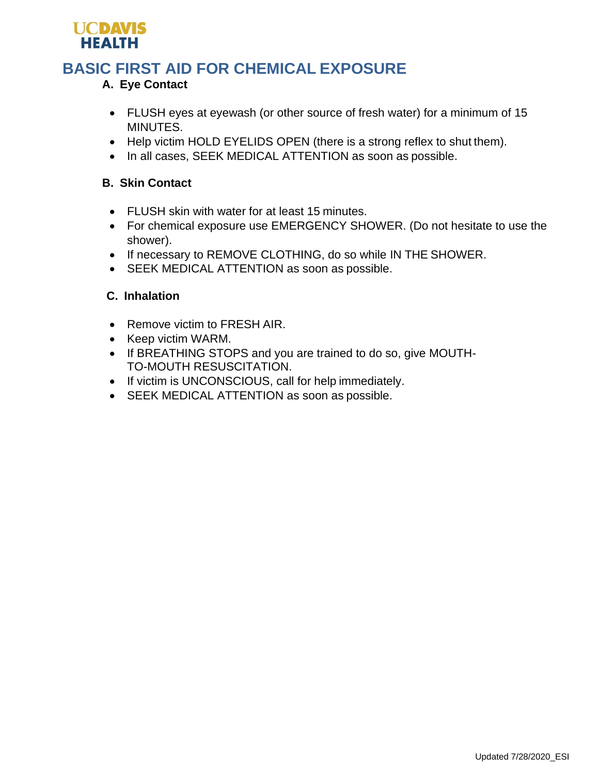

# **BASIC FIRST AID FOR CHEMICAL EXPOSURE**

# **A. Eye Contact**

- FLUSH eyes at eyewash (or other source of fresh water) for a minimum of 15 MINUTES.
- Help victim HOLD EYELIDS OPEN (there is a strong reflex to shut them).
- In all cases, SEEK MEDICAL ATTENTION as soon as possible.

# **B. Skin Contact**

- FLUSH skin with water for at least 15 minutes.
- For chemical exposure use EMERGENCY SHOWER. (Do not hesitate to use the shower).
- If necessary to REMOVE CLOTHING, do so while IN THE SHOWER.
- SEEK MEDICAL ATTENTION as soon as possible.

## **C. Inhalation**

- Remove victim to FRESH AIR.
- Keep victim WARM.
- If BREATHING STOPS and you are trained to do so, give MOUTH-TO-MOUTH RESUSCITATION.
- If victim is UNCONSCIOUS, call for help immediately.
- SEEK MEDICAL ATTENTION as soon as possible.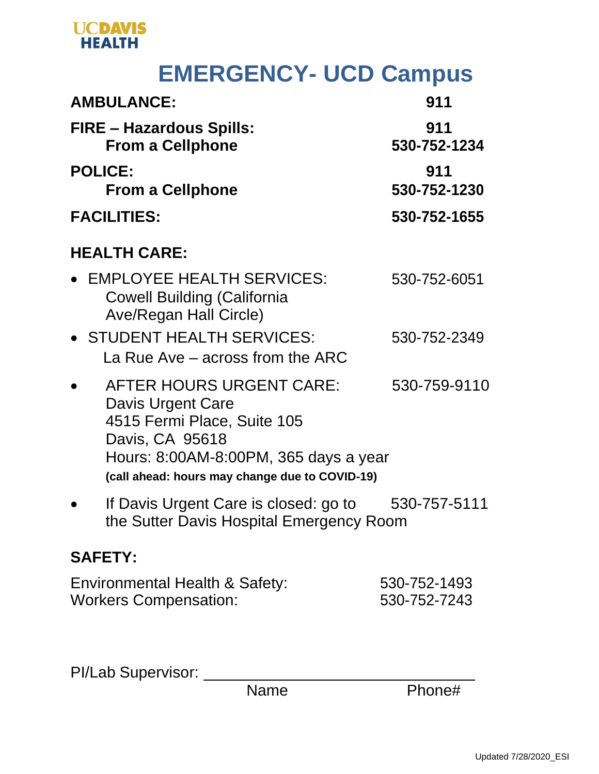

# **EMERGENCY- UCD Campus**

| <b>AMBULANCE:</b>                                                                                                                                                                                 | 911                          |
|---------------------------------------------------------------------------------------------------------------------------------------------------------------------------------------------------|------------------------------|
| <b>FIRE - Hazardous Spills:</b><br><b>From a Cellphone</b>                                                                                                                                        | 911<br>530-752-1234          |
| <b>POLICE:</b><br><b>From a Cellphone</b>                                                                                                                                                         | 911<br>530-752-1230          |
| <b>FACILITIES:</b>                                                                                                                                                                                | 530-752-1655                 |
| <b>HEALTH CARE:</b>                                                                                                                                                                               |                              |
| <b>EMPLOYEE HEALTH SERVICES:</b><br><b>Cowell Building (California</b><br><b>Ave/Regan Hall Circle)</b>                                                                                           | 530-752-6051                 |
| • STUDENT HEALTH SERVICES:<br>La Rue Ave – across from the ARC                                                                                                                                    | 530-752-2349                 |
| <b>AFTER HOURS URGENT CARE:</b><br>Davis Urgent Care<br>4515 Fermi Place, Suite 105<br>Davis, CA 95618<br>Hours: 8:00AM-8:00PM, 365 days a year<br>(call ahead: hours may change due to COVID-19) | 530-759-9110                 |
| If Davis Urgent Care is closed: go to<br>the Sutter Davis Hospital Emergency Room                                                                                                                 | 530-757-5111                 |
| <b>SAFETY:</b>                                                                                                                                                                                    |                              |
| Environmental Health & Safety:<br><b>Workers Compensation:</b>                                                                                                                                    | 530-752-1493<br>530-752-7243 |

PI/Lab Supervisor: \_\_\_\_\_\_

Name Phone#